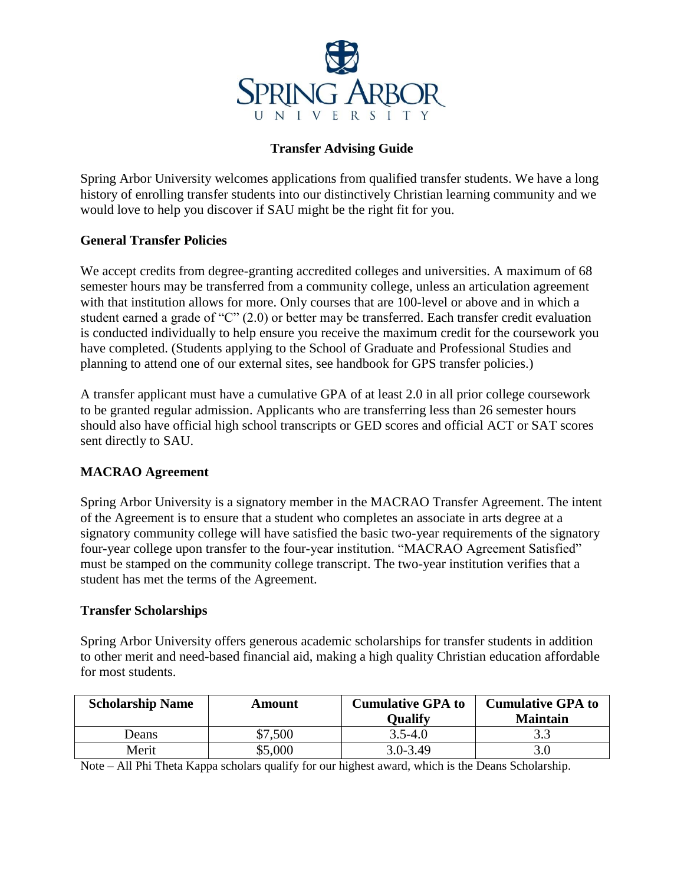

## **Transfer Advising Guide**

Spring Arbor University welcomes applications from qualified transfer students. We have a long history of enrolling transfer students into our distinctively Christian learning community and we would love to help you discover if SAU might be the right fit for you.

### **General Transfer Policies**

We accept credits from degree-granting accredited colleges and universities. A maximum of 68 semester hours may be transferred from a community college, unless an articulation agreement with that institution allows for more. Only courses that are 100-level or above and in which a student earned a grade of "C" (2.0) or better may be transferred. Each transfer credit evaluation is conducted individually to help ensure you receive the maximum credit for the coursework you have completed. (Students applying to the School of Graduate and Professional Studies and planning to attend one of our external sites, see handbook for GPS transfer policies.)

A transfer applicant must have a cumulative GPA of at least 2.0 in all prior college coursework to be granted regular admission. Applicants who are transferring less than 26 semester hours should also have official high school transcripts or GED scores and official ACT or SAT scores sent directly to SAU.

## **MACRAO Agreement**

Spring Arbor University is a signatory member in the MACRAO Transfer Agreement. The intent of the Agreement is to ensure that a student who completes an associate in arts degree at a signatory community college will have satisfied the basic two-year requirements of the signatory four-year college upon transfer to the four-year institution. "MACRAO Agreement Satisfied" must be stamped on the community college transcript. The two-year institution verifies that a student has met the terms of the Agreement.

#### **Transfer Scholarships**

Spring Arbor University offers generous academic scholarships for transfer students in addition to other merit and need-based financial aid, making a high quality Christian education affordable for most students.

| <b>Scholarship Name</b> | Amount  | <b>Cumulative GPA to</b><br>Oualify | <b>Cumulative GPA to</b><br><b>Maintain</b> |
|-------------------------|---------|-------------------------------------|---------------------------------------------|
| Deans                   | \$7,500 | $3.5 - 4.0$                         | ر. ر                                        |
| Merit                   | \$5,000 | $3.0 - 3.49$                        |                                             |

Note – All Phi Theta Kappa scholars qualify for our highest award, which is the Deans Scholarship.